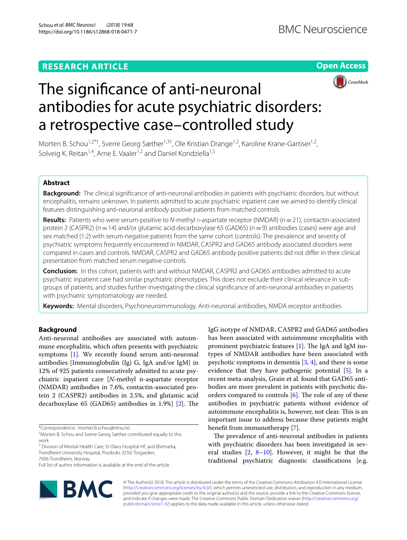## **RESEARCH ARTICLE**





# The signifcance of anti-neuronal antibodies for acute psychiatric disorders: a retrospective case–controlled study

Morten B. Schou<sup>1,2\*†</sup>, Sverre Georg Sæther<sup>1,3†</sup>, Ole Kristian Drange<sup>1,2</sup>, Karoline Krane-Gartiser<sup>1,2</sup>, Solveig K. Reitan<sup>1,4</sup>, Arne E. Vaaler<sup>1,2</sup> and Daniel Kondziella<sup>1,5</sup>

## **Abstract**

**Background:** The clinical signifcance of anti-neuronal antibodies in patients with psychiatric disorders, but without encephalitis, remains unknown. In patients admitted to acute psychiatric inpatient care we aimed to identify clinical features distinguishing anti-neuronal antibody positive patients from matched controls.

Results: Patients who were serum-positive to *N*-methyl D-aspartate receptor (NMDAR) (n = 21), contactin-associated protein 2 (CASPR2) (n=14) and/or glutamic acid decarboxylase 65 (GAD65) (n=9) antibodies (cases) were age and sex matched (1:2) with serum-negative patients from the same cohort (controls). The prevalence and severity of psychiatric symptoms frequently encountered in NMDAR, CASPR2 and GAD65 antibody associated disorders were compared in cases and controls. NMDAR, CASPR2 and GAD65 antibody positive patients did not difer in their clinical presentation from matched serum negative controls.

**Conclusion:** In this cohort, patients with and without NMDAR, CASPR2 and GAD65 antibodies admitted to acute psychiatric inpatient care had similar psychiatric phenotypes. This does not exclude their clinical relevance in subgroups of patients, and studies further investigating the clinical signifcance of anti-neuronal antibodies in patients with psychiatric symptomatology are needed.

**Keywords:** Mental disorders, Psychoneuroimmunology, Anti-neuronal antibodies, NMDA receptor antibodies

## **Background**

Anti-neuronal antibodies are associated with autoimmune encephalitis, which often presents with psychiatric symptoms [\[1](#page-6-0)]. We recently found serum anti-neuronal antibodies [Immunoglobulin (Ig) G, IgA and/or IgM] in 12% of 925 patients consecutively admitted to acute psychiatric inpatient care [*N*-methyl D-aspartate receptor (NMDAR) antibodies in 7.6%, contactin-associated protein 2 (CASPR2) antibodies in 2.5%, and glutamic acid decarboxylase 65 (GAD65) antibodies in 1.9%]  $[2]$  $[2]$ . The

\*Correspondence: morten.b.schou@ntnu.no

7006 Trondheim, Norway



The prevalence of anti-neuronal antibodies in patients with psychiatric disorders has been investigated in several studies  $[2, 8-10]$  $[2, 8-10]$  $[2, 8-10]$  $[2, 8-10]$  $[2, 8-10]$ . However, it might be that the traditional psychiatric diagnostic classifcations [e.g.



© The Author(s) 2018. This article is distributed under the terms of the Creative Commons Attribution 4.0 International License [\(http://creativecommons.org/licenses/by/4.0/\)](http://creativecommons.org/licenses/by/4.0/), which permits unrestricted use, distribution, and reproduction in any medium, provided you give appropriate credit to the original author(s) and the source, provide a link to the Creative Commons license, and indicate if changes were made. The Creative Commons Public Domain Dedication waiver ([http://creativecommons.org/](http://creativecommons.org/publicdomain/zero/1.0/) [publicdomain/zero/1.0/](http://creativecommons.org/publicdomain/zero/1.0/)) applies to the data made available in this article, unless otherwise stated.

<sup>†</sup> Morten B. Schou and Sverre Georg Sæther contributed equally to this work

<sup>2</sup> Division of Mental Health Care, St Olavs Hospital HF, avd Østmarka, Trondheim University Hospital, Postboks 3250, Torgarden,

Full list of author information is available at the end of the article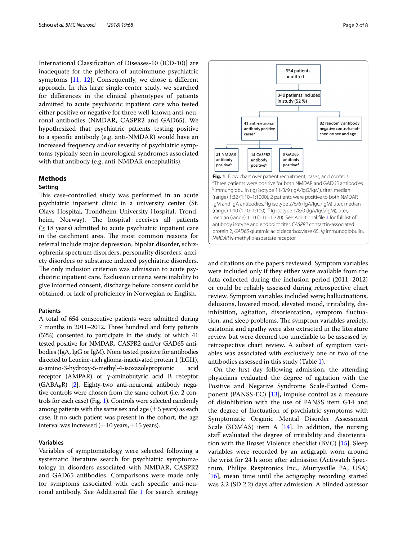International Classifcation of Diseases-10 (ICD-10)] are inadequate for the plethora of autoimmune psychiatric symptoms  $[11, 12]$  $[11, 12]$  $[11, 12]$  $[11, 12]$ . Consequently, we chose a different approach. In this large single-center study, we searched for diferences in the clinical phenotypes of patients admitted to acute psychiatric inpatient care who tested either positive or negative for three well-known anti-neuronal antibodies (NMDAR, CASPR2 and GAD65). We hypothesized that psychiatric patients testing positive to a specifc antibody (e.g. anti-NMDAR) would have an increased frequency and/or severity of psychiatric symptoms typically seen in neurological syndromes associated with that antibody (e.g. anti-NMDAR encephalitis).

## **Methods**

## **Setting**

This case-controlled study was performed in an acute psychiatric inpatient clinic in a university center (St. Olavs Hospital, Trondheim University Hospital, Trondheim, Norway). The hospital receives all patients  $(>18$  years) admitted to acute psychiatric inpatient care in the catchment area. The most common reasons for referral include major depression, bipolar disorder, schizophrenia spectrum disorders, personality disorders, anxiety disorders or substance induced psychiatric disorders. The only inclusion criterion was admission to acute psychiatric inpatient care. Exclusion criteria were inability to give informed consent, discharge before consent could be obtained, or lack of profciency in Norwegian or English.

#### **Patients**

A total of 654 consecutive patients were admitted during 7 months in 2011–2012. Three hundred and forty patients (52%) consented to participate in the study, of which 41 tested positive for NMDAR, CASPR2 and/or GAD65 antibodies (IgA, IgG or IgM). None tested positive for antibodies directed to Leucine-rich glioma-inactivated protein 1 (LGI1), α-amino-3-hydroxy-5-methyl-4-isoxazolepropionic acid receptor (AMPAR) or γ-aminobutyric acid B receptor  $(GABA_RR)$  [\[2\]](#page-6-1). Eighty-two anti-neuronal antibody negative controls were chosen from the same cohort (i.e. 2 controls for each case) (Fig. [1](#page-1-0)). Controls were selected randomly among patients with the same sex and age  $(\pm 5 \,\text{years})$  as each case. If no such patient was present in the cohort, the age interval was increased ( $\pm 10$  years,  $\pm 15$  years).

## **Variables**

Variables of symptomatology were selected following a systematic literature search for psychiatric symptomatology in disorders associated with NMDAR, CASPR2 and GAD65 antibodies. Comparisons were made only for symptoms associated with each specifc anti-neuronal antibody. See Additional fle [1](#page-5-0) for search strategy

<span id="page-1-0"></span>

654 patients admitted

340 patients included

and citations on the papers reviewed. Symptom variables were included only if they either were available from the data collected during the inclusion period (2011–2012) or could be reliably assessed during retrospective chart review. Symptom variables included were; hallucinations, delusions, lowered mood, elevated mood, irritability, disinhibition, agitation, disorientation, symptom fuctuation, and sleep problems. The symptom variables anxiety, catatonia and apathy were also extracted in the literature review but were deemed too unreliable to be assessed by retrospective chart review. A subset of symptom variables was associated with exclusively one or two of the antibodies assessed in this study (Table [1](#page-2-0)).

On the frst day following admission, the attending physicians evaluated the degree of agitation with the Positive and Negative Syndrome Scale-Excited Component (PANSS-EC) [\[13](#page-6-11)], impulse control as a measure of disinhibition with the use of PANSS item G14 and the degree of fuctuation of psychiatric symptoms with Symptomatic Organic Mental Disorder Assessment Scale (SOMAS) item A  $[14]$  $[14]$ . In addition, the nursing staff evaluated the degree of irritability and disorientation with the Brøset Violence checklist (BVC) [[15](#page-6-13)]. Sleep variables were recorded by an actigraph worn around the wrist for 24 h soon after admission (Actiwatch Spectrum, Philips Respironics Inc., Murrysville PA, USA) [[16\]](#page-6-14), mean time until the actigraphy recording started was 2.2 (SD 2.2) days after admission. A blinded assessor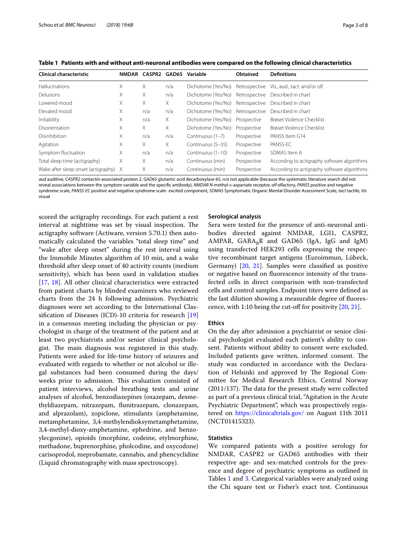| <b>Clinical characteristic</b>        |   | NMDAR CASPR2 | GAD65 | Variable           | Obtained      | <b>Definitions</b>                          |
|---------------------------------------|---|--------------|-------|--------------------|---------------|---------------------------------------------|
| <b>Hallucinations</b>                 | X | X.           | n/a   | Dichotome (Yes/No) |               | Retrospective Vis., aud., tact. and/or olf. |
| <b>Delusions</b>                      | Χ | X.           | n/a   | Dichotome (Yes/No) |               | Retrospective Described in chart            |
| Lowered mood                          | Χ | X.           | X.    | Dichotome (Yes/No) | Retrospective | Described in chart                          |
| Flevated mood                         | X | n/a          | n/a   | Dichotome (Yes/No) | Retrospective | Described in chart                          |
| Irritability                          | X | n/a          | Χ     | Dichotome (Yes/No) | Prospective   | Brøset Violence Checklist                   |
| Disorientation                        | Χ | X.           | X     | Dichotome (Yes/No) | Prospective   | Brøset Violence Checklist                   |
| <b>Disinhibition</b>                  | X | n/a          | n/a   | Continuous (1–7)   | Prospective   | PANSS Item G14                              |
| Agitation                             | X | X.           | X.    | Continuous (5–35)  | Prospective   | PANSS-EC                                    |
| Symptom fluctuation                   | Χ | n/a          | n/a   | Continuous (1-10)  | Prospective   | SOMAS Item A                                |
| Total sleep time (actigraphy)         | Χ | X.           | n/a   | Continuous (min)   | Prospective   | According to actigraphy software algorithms |
| Wake after sleep onset (actigraphy) X |   | X.           | n/a   | Continuous (min)   | Prospective   | According to actigraphy software algorithms |

<span id="page-2-0"></span>**Table 1 Patients with and without anti-neuronal antibodies were compared on the following clinical characteristics**

*aud* auditive, *CASPR2* contactin-associated protein 2, *GAD65* glutamic acid decarboxylase 65, *n/a* not applicable (because the systematic literature search did not reveal associations between the symptom variable and the specific antibody), *NMDAR N*-methyl-p-aspartate receptor, *olf* olfactory, *PANSS* positive and negative syndrome scale, *PANSS-EC* positive and negative syndrome scale- excited component, *SOMAS* Symptomatic Organic Mental Disorder Assessment Scale, *tact* tactile, *Vis* visual

scored the actigraphy recordings. For each patient a rest interval at nighttime was set by visual inspection. The actigraphy software (Actiware, version 5.70.1) then automatically calculated the variables "total sleep time" and "wake after sleep onset" during the rest interval using the Immobile Minutes algorithm of 10 min, and a wake threshold after sleep onset of 40 activity counts (medium sensitivity), which has been used in validation studies [[17,](#page-6-15) [18](#page-6-16)]. All other clinical characteristics were extracted from patient charts by blinded examiners who reviewed charts from the 24 h following admission. Psychiatric diagnoses were set according to the International Classifcation of Diseases (ICD)-10 criteria for research [[19](#page-6-17)] in a consensus meeting including the physician or psychologist in charge of the treatment of the patient and at least two psychiatrists and/or senior clinical psychologist. The main diagnosis was registered in this study. Patients were asked for life-time history of seizures and evaluated with regards to whether or not alcohol or illegal substances had been consumed during the days/ weeks prior to admission. This evaluation consisted of patient interviews, alcohol breathing tests and urine analyses of alcohol, benzodiazepines (oxazepam, desmethyldiazepam, nitrazepam, funitrazepam, clonazepam, and alprazolam), zopiclone, stimulants (amphetamine, metamphetamine, 3,4-methylendioksymetamphetamine, 3,4-methyl-dioxy-amphetamine, ephedrine, and benzoylecgonine), opioids (morphine, codeine, etylmorphine, methadone, buprenorphine, pholcodine, and oxycodone) carisoprodol, meprobamate, cannabis, and phencyclidine (Liquid chromatography with mass spectroscopy).

#### **Serological analysis**

Sera were tested for the presence of anti-neuronal antibodies directed against NMDAR, LGI1, CASPR2, AMPAR,  $GABA_BR$  and  $GAD65$  (IgA, IgG and IgM) using transfected HEK293 cells expressing the respective recombinant target antigens (Euroimmun, Lübeck, Germany) [[20,](#page-6-18) [21](#page-6-19)]. Samples were classifed as positive or negative based on fuorescence intensity of the transfected cells in direct comparison with non-transfected cells and control samples. Endpoint titers were defned as the last dilution showing a measurable degree of fuorescence, with 1:10 being the cut-of for positivity [\[20](#page-6-18), [21\]](#page-6-19).

## **Ethics**

On the day after admission a psychiatrist or senior clinical psychologist evaluated each patient's ability to consent. Patients without ability to consent were excluded. Included patients gave written, informed consent. The study was conducted in accordance with the Declaration of Helsinki and approved by The Regional Committee for Medical Research Ethics, Central Norway  $(2011/137)$ . The data for the present study were collected as part of a previous clinical trial, "Agitation in the Acute Psychiatric Department", which was prospectively registered on <https://clinicaltrials.gov/> on August 11th 2011 (NCT01415323).

## **Statistics**

We compared patients with a positive serology for NMDAR, CASPR2 or GAD65 antibodies with their respective age- and sex-matched controls for the presence and degree of psychiatric symptoms as outlined in Tables [1](#page-2-0) and [3](#page-4-0). Categorical variables were analyzed using the Chi square test or Fisher's exact test. Continuous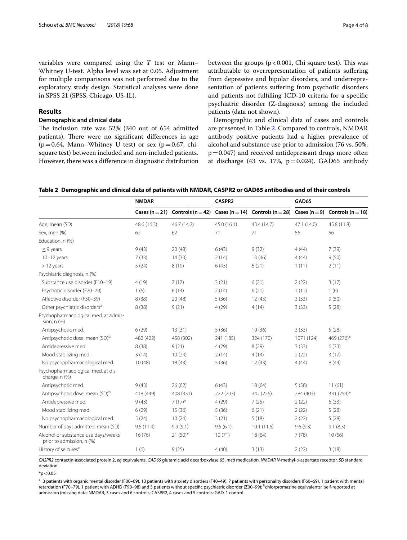variables were compared using the *T* test or Mann– Whitney U-test. Alpha level was set at 0.05. Adjustment for multiple comparisons was not performed due to the exploratory study design. Statistical analyses were done in SPSS 21 (SPSS, Chicago, US-IL).

## **Results**

#### **Demographic and clinical data**

The inclusion rate was  $52\%$  (340 out of 654 admitted patients). There were no significant differences in age  $(p=0.64,$  Mann–Whitney U test) or sex  $(p=0.67,$  chisquare test) between included and non-included patients. However, there was a diference in diagnostic distribution between the groups ( $p < 0.001$ , Chi square test). This was attributable to overrepresentation of patients sufering from depressive and bipolar disorders, and underrepresentation of patients sufering from psychotic disorders and patients not fulflling ICD-10 criteria for a specifc psychiatric disorder (Z-diagnosis) among the included patients (data not shown).

Demographic and clinical data of cases and controls are presented in Table [2](#page-3-0). Compared to controls, NMDAR antibody positive patients had a higher prevalence of alcohol and substance use prior to admission (76 vs. 50%,  $p=0.047$ ) and received antidepressant drugs more often at discharge (43 vs. 17%,  $p=0.024$ ). GAD65 antibody

<span id="page-3-0"></span>

| Table 2 Demographic and clinical data of patients with NMDAR, CASPR2 or GAD65 antibodies and of their controls |  |  |
|----------------------------------------------------------------------------------------------------------------|--|--|
|                                                                                                                |  |  |

|                                                                  | <b>NMDAR</b>   | CASPR2      |             | GAD65                                                                              |             |             |
|------------------------------------------------------------------|----------------|-------------|-------------|------------------------------------------------------------------------------------|-------------|-------------|
|                                                                  | Cases $(n=21)$ |             |             | Controls $(n=42)$ Cases $(n=14)$ Controls $(n=28)$ Cases $(n=9)$ Controls $(n=18)$ |             |             |
| Age, mean (SD)                                                   | 48.6 (16.3)    | 46.7 (14.2) | 45.0 (16.1) | 43.4 (14.7)                                                                        | 47.1 (14.0) | 45.8 (11.8) |
| Sex, men (%)                                                     | 62             | 62          | 71          | 71                                                                                 | 56          | 56          |
| Education, n (%)                                                 |                |             |             |                                                                                    |             |             |
| $\leq$ 9 years                                                   | 9(43)          | 20(48)      | 6(43)       | 9(32)                                                                              | 4(44)       | 7(39)       |
| $10-12$ years                                                    | 7(33)          | 14(33)      | 2(14)       | 13(46)                                                                             | 4(44)       | 9(50)       |
| >12 years                                                        | 5(24)          | 8(19)       | 6(43)       | 6(21)                                                                              | 1(11)       | 2(11)       |
| Psychiatric diagnosis, n (%)                                     |                |             |             |                                                                                    |             |             |
| Substance use disorder (F10-19)                                  | 4(19)          | 7(17)       | 3(21)       | 6(21)                                                                              | 2(22)       | 3(17)       |
| Psychotic disorder (F20-29)                                      | 1(6)           | 6(14)       | 2(14)       | 6(21)                                                                              | 1(11)       | 1(6)        |
| Affective disorder (F30-39)                                      | 8(38)          | 20(48)      | 5(36)       | 12(43)                                                                             | 3(33)       | 9(50)       |
| Other psychiatric disorders <sup>a</sup>                         | 8(38)          | 9(21)       | 4(29)       | 4(14)                                                                              | 3(33)       | 5(28)       |
| Psychopharmacological med. at admis-<br>sion, n (%)              |                |             |             |                                                                                    |             |             |
| Antipsychotic med.                                               | 6(29)          | 13(31)      | 5(36)       | 10(36)                                                                             | 3(33)       | 5(28)       |
| Antipsychotic dose, mean (SD) <sup>b</sup>                       | 482 (422)      | 458 (302)   | 241 (185)   | 324 (170)                                                                          | 1071 (124)  | 469 (276)*  |
| Antidepressive med.                                              | 8(38)          | 9(21)       | 4(29)       | 8(29)                                                                              | 3(33)       | 6(33)       |
| Mood stabilizing med.                                            | 3(14)          | 10(24)      | 2(14)       | 4(14)                                                                              | 2(22)       | 3(17)       |
| No psychopharmacological med.                                    | 10(48)         | 18(43)      | 5(36)       | 12(43)                                                                             | 4(44)       | 8(44)       |
| Psychopharmacological med. at dis-<br>charge, n (%)              |                |             |             |                                                                                    |             |             |
| Antipsychotic med.                                               | 9(43)          | 26(62)      | 6(43)       | 18(64)                                                                             | 5(56)       | 11(61)      |
| Antipsychotic dose, mean (SD) <sup>b</sup>                       | 418 (449)      | 408 (331)   | 222 (203)   | 342 (226)                                                                          | 784 (403)   | 331 (254)*  |
| Antidepressive med.                                              | 9(43)          | $7(17)^{*}$ | 4(29)       | 7(25)                                                                              | 2(22)       | 6(33)       |
| Mood stabilizing med.                                            | 6(29)          | 15(36)      | 5(36)       | 6(21)                                                                              | 2(22)       | 5(28)       |
| No psychopharmacological med.                                    | 5(24)          | 10(24)      | 3(21)       | 5(18)                                                                              | 2(22)       | 5(28)       |
| Number of days admitted, mean (SD)                               | 9.5(11.4)      | 9.9(9.1)    | 9.5(6.1)    | 10.1 (11.6)                                                                        | 9.6(9.3)    | 9.1(8.3)    |
| Alcohol or substance use days/weeks<br>prior to admission, n (%) | 16(76)         | $21(50)*$   | 10(71)      | 18 (64)                                                                            | 7(78)       | 10(56)      |
| History of seizures <sup>c</sup>                                 | 1(6)           | 9(25)       | 4(40)       | 3(13)                                                                              | 2(22)       | 3(18)       |

*CASPR2* contactin-associated protein 2, *eq* equivalents, *GAD65* glutamic acid decarboxylase 65, *med* medication, *NMDAR N*-methyl-d-aspartate receptor, *SD* standard deviation

 $*p < 0.05$ 

<sup>a</sup> 3 patients with organic mental disorder (F00–09), 13 patients with anxiety disorders (F40–49), 7 patients with personality disorders (F60–69), 1 patient with mental retardation (F70–79), 1 patient with ADHD (F90–98) and 5 patients without specific psychiatric disorder (Z00–99); <sup>b</sup>chlorpromazine equivalents; <sup>c</sup>self-reported at admission (missing data; NMDAR, 3 cases and 6 controls; CASPR2, 4 cases and 5 controls; GAD, 1 control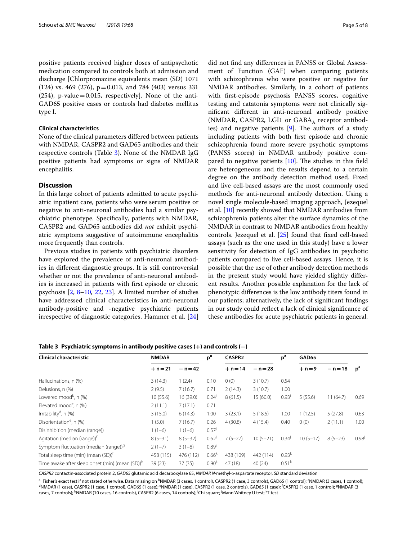positive patients received higher doses of antipsychotic medication compared to controls both at admission and discharge [Chlorpromazine equivalents mean (SD) 1071  $(124)$  vs. 469  $(276)$ , p = 0.013, and 784  $(403)$  versus 331 (254), p-value=0.015, respectively]. None of the anti-GAD65 positive cases or controls had diabetes mellitus type I.

#### **Clinical characteristics**

None of the clinical parameters difered between patients with NMDAR, CASPR2 and GAD65 antibodies and their respective controls (Table [3](#page-4-0)). None of the NMDAR IgG positive patients had symptoms or signs of NMDAR encephalitis.

## **Discussion**

In this large cohort of patients admitted to acute psychiatric inpatient care, patients who were serum positive or negative to anti-neuronal antibodies had a similar psychiatric phenotype. Specifcally, patients with NMDAR, CASPR2 and GAD65 antibodies did *not* exhibit psychiatric symptoms suggestive of autoimmune encephalitis more frequently than controls.

Previous studies in patients with psychiatric disorders have explored the prevalence of anti-neuronal antibodies in diferent diagnostic groups. It is still controversial whether or not the prevalence of anti-neuronal antibodies is increased in patients with frst episode or chronic psychosis [\[2](#page-6-1), [8](#page-6-7)[–10](#page-6-8), [22,](#page-6-20) [23\]](#page-6-21). A limited number of studies have addressed clinical characteristics in anti-neuronal antibody-positive and -negative psychiatric patients irrespective of diagnostic categories. Hammer et al. [[24](#page-6-22)]

did not fnd any diferences in PANSS or Global Assessment of Function (GAF) when comparing patients with schizophrenia who were positive or negative for NMDAR antibodies. Similarly, in a cohort of patients with frst-episode psychosis PANSS scores, cognitive testing and catatonia symptoms were not clinically signifcant diferent in anti-neuronal antibody positive (NMDAR, CASPR2, LGI1 or  $GABA_A$  receptor antibodies) and negative patients  $[9]$  $[9]$ . The authors of a study including patients with both frst episode and chronic schizophrenia found more severe psychotic symptoms (PANSS scores) in NMDAR antibody positive compared to negative patients  $[10]$  $[10]$  $[10]$ . The studies in this field are heterogeneous and the results depend to a certain degree on the antibody detection method used. Fixed and live cell-based assays are the most commonly used methods for anti-neuronal antibody detection. Using a novel single molecule-based imaging approach, Jezequel et al. [\[10](#page-6-8)] recently showed that NMDAR antibodies from schizophrenia patients alter the surface dynamics of the NMDAR in contrast to NMDAR antibodies from healthy controls. Jezequel et al. [\[25](#page-6-24)] found that fxed cell-based assays (such as the one used in this study) have a lower sensitivity for detection of IgG antibodies in psychotic patients compared to live cell-based assays. Hence, it is possible that the use of other antibody detection methods in the present study would have yielded slightly diferent results. Another possible explanation for the lack of phenotypic diferences is the low antibody titers found in our patients; alternatively, the lack of signifcant fndings in our study could refect a lack of clinical signifcance of these antibodies for acute psychiatric patients in general.

| <b>Clinical characteristic</b>                              | <b>NMDAR</b> |           | p <sup>a</sup>    | CASPR <sub>2</sub> |            | p <sup>a</sup>      | GAD65      |            |                |
|-------------------------------------------------------------|--------------|-----------|-------------------|--------------------|------------|---------------------|------------|------------|----------------|
|                                                             | $+n = 21$    | – n = 42  |                   | $+ n = 14$         | $- n = 28$ |                     | $+n=9$     | $- n = 18$ | p <sup>a</sup> |
| Hallucinations, n (%)                                       | 3(14.3)      | 1(2.4)    | 0.10              | 0(0)               | 3(10.7)    | 0.54                |            |            |                |
| Delusions, n (%)                                            | 2(9.5)       | 7(16.7)   | 0.71              | 2(14.3)            | 3(10.7)    | 1.00                |            |            |                |
| Lowered mood <sup>b</sup> , n (%)                           | 10(55.6)     | 16 (39.0) | 0.24 <sup>1</sup> | 8(61.5)            | 15(60.0)   | $0.93$ <sup>i</sup> | 5(55.6)    | 11(64.7)   | 0.69           |
| Elevated mood <sup>c</sup> , n $(\%)$                       | 2(11.1)      | 7(17.1)   | 0.71              |                    |            |                     |            |            |                |
| Irritability <sup>d</sup> , n (%)                           | 3(15.0)      | 6(14.3)   | 1.00              | 3(23.1)            | 5(18.5)    | 1.00                | 1(12.5)    | 5(27.8)    | 0.63           |
| Disorientation <sup>e</sup> , n (%)                         | 1(5.0)       | 7(16.7)   | 0.26              | 4(30.8)            | 4(15.4)    | 0.40                | 0(0)       | 2(11.1)    | 1.00           |
| Disinhibition (median (range))                              | $1(1-6)$     | $1(1-6)$  | $0.57^{j}$        |                    |            |                     |            |            |                |
| Agitation (median (range)) <sup>†</sup>                     | $8(5-31)$    | $8(5-32)$ | $0.62^{j}$        | $7(5-27)$          | $10(5-21)$ | $0.34^{j}$          | $10(5-17)$ | $8(5-23)$  | $0.98^{j}$     |
| Symptom fluctuation (median (range)) <sup>9</sup>           | $2(1-7)$     | $3(1-8)$  | 0.89              |                    |            |                     |            |            |                |
| Total sleep time (min) (mean (SD)) <sup>h</sup>             | 458 (115)    | 476 (112) | $0.66^{k}$        | 438 (109)          | 442 (114)  | $0.93^{k}$          |            |            |                |
| Time awake after sleep onset (min) (mean (SD)) <sup>h</sup> | 39(23)       | 37(35)    | 0.90 <sup>k</sup> | 47(18)             | 40(24)     | 0.51 <sup>k</sup>   |            |            |                |

<span id="page-4-0"></span>**Table 3 Psychiatric symptoms in antibody positive cases (+) and controls (−)**

CASPR2 contactin-associated protein 2, *GAD65* glutamic acid decarboxylase 65, *NMDAR N*-methyl-D-aspartate receptor, *SD* standard deviation

<sup>a</sup> Fisher's exact test if not stated otherwise. Data missing on <sup>b</sup>NMDAR (3 cases, 1 control), CASPR2 (1 case, 3 controls), GAD65 (1 control); <sup>c</sup>NMDAR (3 cases, 1 control);<br><sup>d</sup>NMDAR (1 case), CASRR2 (1 case, 1 control), NMDAR (1 case), CASPR2 (1 case, 1 control), GAD65 (1 case); <sup>e</sup>NMDAR (1 case), CASPR2 (1 case, 2 controls), GAD65 (1 case); <sup>f</sup>CASPR2 (1 case, 1 control); <sup>g</sup>NMDAR (3 cases, 7 controls); <sup>h</sup>NMDAR (10 cases, 16 controls), CASPR2 (6 cases, 14 controls); <sup>i</sup>Chi square; <sup>j</sup>Mann Whitney U test; <sup>k</sup>T-test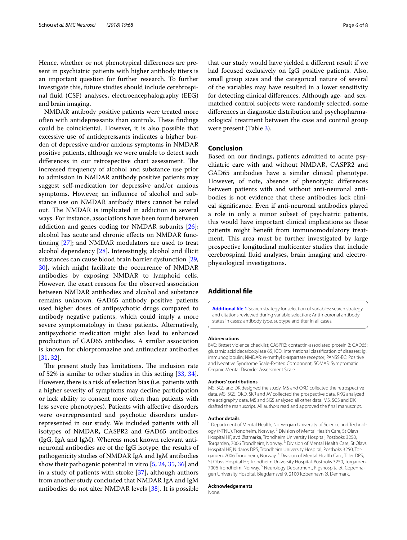Hence, whether or not phenotypical diferences are present in psychiatric patients with higher antibody titers is an important question for further research. To further investigate this, future studies should include cerebrospinal fuid (CSF) analyses, electroencephalography (EEG) and brain imaging.

NMDAR antibody positive patients were treated more often with antidepressants than controls. These findings could be coincidental. However, it is also possible that excessive use of antidepressants indicates a higher burden of depressive and/or anxious symptoms in NMDAR positive patients, although we were unable to detect such differences in our retrospective chart assessment. The increased frequency of alcohol and substance use prior to admission in NMDAR antibody positive patients may suggest self-medication for depressive and/or anxious symptoms. However, an infuence of alcohol and substance use on NMDAR antibody titers cannot be ruled out. The NMDAR is implicated in addiction in several ways. For instance, associations have been found between addiction and genes coding for NMDAR subunits [\[26](#page-6-25)]; alcohol has acute and chronic efects on NMDAR functioning [[27](#page-6-26)]; and NMDAR modulators are used to treat alcohol dependency [[28\]](#page-6-27). Interestingly, alcohol and illicit substances can cause blood brain barrier dysfunction [\[29](#page-6-28), [30\]](#page-6-29), which might facilitate the occurrence of NMDAR antibodies by exposing NMDAR to lymphoid cells. However, the exact reasons for the observed association between NMDAR antibodies and alcohol and substance remains unknown. GAD65 antibody positive patients used higher doses of antipsychotic drugs compared to antibody negative patients, which could imply a more severe symptomatology in these patients. Alternatively, antipsychotic medication might also lead to enhanced production of GAD65 antibodies. A similar association is known for chlorpromazine and antinuclear antibodies [[31,](#page-6-30) [32](#page-6-31)].

The present study has limitations. The inclusion rate of 52% is similar to other studies in this setting [\[33,](#page-6-32) [34](#page-7-0)]. However, there is a risk of selection bias (i.e. patients with a higher severity of symptoms may decline participation or lack ability to consent more often than patients with less severe phenotypes). Patients with afective disorders were overrepresented and psychotic disorders underrepresented in our study. We included patients with all isotypes of NMDAR, CASPR2 and GAD65 antibodies (IgG, IgA and IgM). Whereas most known relevant antineuronal antibodies are of the IgG isotype, the results of pathogenicity studies of NMDAR IgA and IgM antibodies show their pathogenic potential in vitro [\[5](#page-6-4), [24,](#page-6-22) [35,](#page-7-1) [36](#page-7-2)] and in a study of patients with stroke [[37](#page-7-3)], although authors from another study concluded that NMDAR IgA and IgM antibodies do not alter NMDAR levels [\[38\]](#page-7-4). It is possible

that our study would have yielded a diferent result if we had focused exclusively on IgG positive patients. Also, small group sizes and the categorical nature of several of the variables may have resulted in a lower sensitivity for detecting clinical diferences. Although age- and sexmatched control subjects were randomly selected, some diferences in diagnostic distribution and psychopharmacological treatment between the case and control group were present (Table [3](#page-4-0)).

## **Conclusion**

Based on our fndings, patients admitted to acute psychiatric care with and without NMDAR, CASPR2 and GAD65 antibodies have a similar clinical phenotype. However, of note, absence of phenotypic diferences between patients with and without anti-neuronal antibodies is not evidence that these antibodies lack clinical signifcance. Even if anti-neuronal antibodies played a role in only a minor subset of psychiatric patients, this would have important clinical implications as these patients might beneft from immunomodulatory treatment. This area must be further investigated by large prospective longitudinal multicenter studies that include cerebrospinal fuid analyses, brain imaging and electrophysiological investigations.

## **Additional fle**

<span id="page-5-0"></span>**[Additional fle 1.](https://doi.org/10.1186/s12868-018-0471-7)**Search strategy for selection of variables: search strategy and citations reviewed during variable selection; Anti-neuronal antibody status in cases: antibody type, subtype and titer in all cases.

#### **Abbreviations**

BVC: Brøset violence checklist; CASPR2: contactin-associated protein 2; GAD65: glutamic acid decarboxylase 65; ICD: international classifcation of diseases; Ig: immunoglobulin; NMDAR: N-methyl D-aspartate receptor; PANSS-EC: Positive and Negative Syndrome Scale-Excited Component; SOMAS: Symptomatic Organic Mental Disorder Assessment Scale.

#### **Authors' contributions**

MS, SGS and DK designed the study. MS and OKD collected the retrospective data. MS, SGS, OKD, SKR and AV collected the prospective data. KKG analyzed the actigraphy data. MS and SGS analyzed all other data. MS, SGS and DK drafted the manuscript. All authors read and approved the fnal manuscript.

#### **Author details**

<sup>1</sup> Department of Mental Health, Norwegian University of Science and Technology (NTNU), Trondheim, Norway. <sup>2</sup> Division of Mental Health Care, St Olavs Hospital HF, avd Østmarka, Trondheim University Hospital, Postboks 3250, Torgarden, 7006 Trondheim, Norway. 3 Division of Mental Health Care, St Olavs Hospital HF, Nidaros DPS, Trondheim University Hospital, Postboks 3250, Tor‑ garden, 7006 Trondheim, Norway. 4 Division of Mental Health Care, Tiller DPS, St Olavs Hospital HF, Trondheim University Hospital, Postboks 3250, Torgarden, 7006 Trondheim, Norway.<sup>5</sup> Neurology Department, Rigshospitalet, Copenhagen University Hospital, Blegdamsvei 9, 2100 København Ø, Denmark.

#### **Acknowledgements**

None.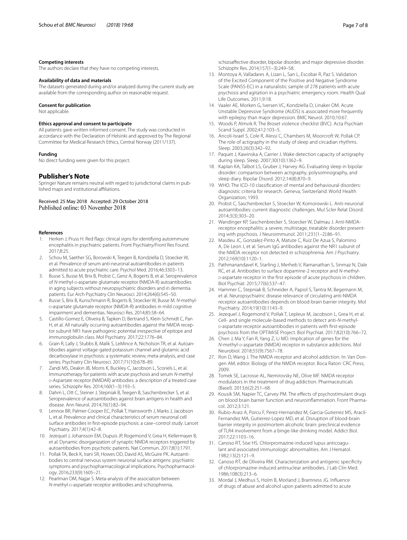#### **Competing interests**

The authors declare that they have no competing interests.

#### **Availability of data and materials**

The datasets generated during and/or analyzed during the current study are available from the corresponding author on reasonable request.

## **Consent for publication**

Not applicable.

#### **Ethics approval and consent to participate**

All patients gave written informed consent. The study was conducted in accordance with the Declaration of Helsinki and approved by The Regional Committee for Medical Research Ethics, Central Norway (2011/137).

#### **Funding**

No direct funding were given for this project.

## **Publisher's Note**

Springer Nature remains neutral with regard to jurisdictional claims in published maps and institutional afliations.

Received: 25 May 2018 Accepted: 29 October 2018<br>Published online: 03 November 2018

#### **References**

- <span id="page-6-0"></span>1. Herken J, Pruss H. Red fags: clinical signs for identifying autoimmune encephalitis in psychiatric patients. Front Psychiatry/Front Res Found. 2017;8:25.
- <span id="page-6-1"></span>2. Schou M, Saether SG, Borowski K, Teegen B, Kondziella D, Stoecker W, et al. Prevalence of serum anti-neuronal autoantibodies in patients admitted to acute psychiatric care. Psychol Med. 2016;46:3303–13.
- <span id="page-6-2"></span>3. Busse S, Busse M, Brix B, Probst C, Genz A, Bogerts B, et al. Seroprevalence of *N*-methyl-D-aspartate glutamate receptor (NMDA-R) autoantibodies in aging subjects without neuropsychiatric disorders and in dementia patients. Eur Arch Psychiatry Clin Neurosci. 2014;264(6):545–50.
- <span id="page-6-3"></span>4. Busse S, Brix B, Kunschmann R, Bogerts B, Stoecker W, Busse M. *N*-methyl<sup>d</sup>-aspartate glutamate receptor (NMDA-R) antibodies in mild cognitive impairment and dementias. Neurosci Res. 2014;85:58–64.
- <span id="page-6-4"></span>5. Castillo-Gomez E, Oliveira B, Tapken D, Bertrand S, Klein-Schmidt C, Pan H, et al. All naturally occurring autoantibodies against the NMDA receptor subunit NR1 have pathogenic potential irrespective of epitope and immunoglobulin class. Mol Psychiatry. 2017;22:1776–84.
- <span id="page-6-5"></span>6. Grain R, Lally J, Stubbs B, Malik S, LeMince A, Nicholson TR, et al. Autoantibodies against voltage-gated potassium channel and glutamic acid decarboxylase in psychosis: a systematic review, meta-analysis, and case series. Psychiatry Clin Neurosci. 2017;71(10):678–89.
- <span id="page-6-6"></span>7. Zandi MS, Deakin JB, Morris K, Buckley C, Jacobson L, Scoriels L, et al. Immunotherapy for patients with acute psychosis and serum *N*-methyl <sup>d</sup>-Aspartate receptor (NMDAR) antibodies: a description of a treated case series. Schizophr Res. 2014;160(1–3):193–5.
- <span id="page-6-7"></span>8. Dahm L, Ott C, Steiner J, Stepniak B, Teegen B, Saschenbrecker S, et al. Seroprevalence of autoantibodies against brain antigens in health and disease. Ann Neurol. 2014;76(1):82–94.
- <span id="page-6-23"></span>9. Lennox BR, Palmer-Cooper EC, Pollak T, Hainsworth J, Marks J, Jacobson L, et al. Prevalence and clinical characteristics of serum neuronal cell surface antibodies in frst-episode psychosis: a case–control study. Lancet Psychiatry. 2017;4(1):42–8.
- <span id="page-6-8"></span>10. Jezequel J, Johansson EM, Dupuis JP, Rogemond V, Grea H, Kellermayer B, et al. Dynamic disorganization of synaptic NMDA receptors triggered by autoantibodies from psychotic patients. Nat Commun. 2017;8(1):1791.
- <span id="page-6-9"></span>11. Pollak TA, Beck K, Irani SR, Howes OD, David AS, McGuire PK. Autoantibodies to central nervous system neuronal surface antigens: psychiatric symptoms and psychopharmacological implications. Psychopharmacology. 2016;233(9):1605–21.
- <span id="page-6-10"></span>12. Pearlman DM, Najjar S. Meta-analysis of the association between *N*-methyl-p-aspartate receptor antibodies and schizophrenia,

schizoafective disorder, bipolar disorder, and major depressive disorder. Schizophr Res. 2014;157(1–3):249–58.

- <span id="page-6-11"></span>13. Montoya A, Valladares A, Lizan L, San L, Escobar R, Paz S. Validation of the Excited Component of the Positive and Negative Syndrome Scale (PANSS-EC) in a naturalistic sample of 278 patients with acute psychosis and agitation in a psychiatric emergency room. Health Qual Life Outcomes. 2011;9:18.
- <span id="page-6-12"></span>14. Vaaler AE, Morken G, Iversen VC, Kondziella D, Linaker OM. Acute Unstable Depressive Syndrome (AUDS) is associated more frequently with epilepsy than major depression. BMC Neurol. 2010;10:67.
- <span id="page-6-13"></span>15. Woods P, Almvik R. The Broset violence checklist (BVC). Acta Psychiatr Scand Suppl. 2002;412:103–5.
- <span id="page-6-14"></span>16. Ancoli-Israel S, Cole R, Alessi C, Chambers M, Moorcroft W, Pollak CP. The role of actigraphy in the study of sleep and circadian rhythms. Sleep. 2003;26(3):342–92.
- <span id="page-6-15"></span>17. Paquet J, Kawinska A, Carrier J. Wake detection capacity of actigraphy during sleep. Sleep. 2007;30(10):1362–9.
- <span id="page-6-16"></span>18. Kaplan KA, Talbot LS, Gruber J, Harvey AG. Evaluating sleep in bipolar disorder: comparison between actigraphy, polysomnography, and sleep diary. Bipolar Disord. 2012;14(8):870–9.
- <span id="page-6-17"></span>19. WHO. The ICD-10 classifcation of mental and behavioural disorders: diagnostic criteria for research. Geneva, Switzerland: World Health Organization; 1993.
- <span id="page-6-18"></span>20. Probst C, Saschenbrecker S, Stoecker W, Komorowski L. Anti-neuronal autoantibodies: current diagnostic challenges. Mul Scler Relat Disord. 2014;3(3):303–20.
- <span id="page-6-19"></span>21. Wandinger KP, Saschenbrecker S, Stoecker W, Dalmau J. Anti-NMDAreceptor encephalitis: a severe, multistage, treatable disorder presenting with psychosis. J Neuroimmunol. 2011;231(1–2):86–91.
- <span id="page-6-20"></span>22. Masdeu JC, Gonzalez-Pinto A, Matute C, Ruiz De Azua S, Palomino A, De Leon J, et al. Serum IgG antibodies against the NR1 subunit of the NMDA receptor not detected in schizophrenia. Am J Psychiatry. 2012;169(10):1120–1.
- <span id="page-6-21"></span>23. Pathmanandavel K, Starling J, Merheb V, Ramanathan S, Sinmaz N, Dale RC, et al. Antibodies to surface dopamine-2 receptor and *N*-methyl<sup>d</sup>-aspartate receptor in the frst episode of acute psychosis in children. Biol Psychiat. 2015;77(6):537–47.
- <span id="page-6-22"></span>24. Hammer C, Stepniak B, Schneider A, Papiol S, Tantra M, Begemann M, et al. Neuropsychiatric disease relevance of circulating anti-NMDA receptor autoantibodies depends on blood-brain barrier integrity. Mol Psychiatry. 2014;19(10):1143–9.
- <span id="page-6-24"></span>25. Jezequel J, Rogemond V, Pollak T, Lepleux M, Jacobson L, Grea H, et al. Cell- and single molecule-based methods to detect anti-*N*-methyl<sup>d</sup>-aspartate receptor autoantibodies in patients with frst-episode psychosis from the OPTiMiSE Project. Biol Psychiat. 2017;82(10):766–72.
- <span id="page-6-25"></span>26. Chen J, Ma Y, Fan R, Yang Z, Li MD. Implication of genes for the *N*-methyl-D-aspartate (NMDA) receptor in substance addictions. Mol Neurobiol. 2018;55(9):7567–78.
- <span id="page-6-26"></span>27. Ron D, Wang J. The NMDA receptor and alcohol addiction. In: Van Dongen AM, editor. Biology of the NMDA receptor. Boca Raton: CRC Press; 2009.
- <span id="page-6-27"></span>28. Tomek SE, Lacrosse AL, Nemirovsky NE, Olive MF. NMDA receptor modulators in the treatment of drug addiction. Pharmaceuticals (Basel). 2013;6(2):251–68.
- <span id="page-6-28"></span>29. Kousik SM, Napier TC, Carvey PM. The effects of psychostimulant drugs on blood brain barrier function and neuroinflammation. Front Pharmacol. 2012;3:121.
- <span id="page-6-29"></span>30. Rubio-Araiz A, Porcu F, Perez-Hernandez M, Garcia-Gutierrez MS, Aracil-Fernandez MA, Gutierrez-Lopez MD, et al. Disruption of blood-brain barrier integrity in postmortem alcoholic brain: preclinical evidence of TLR4 involvement from a binge-like drinking model. Addict Biol. 2017;22:1103–16.
- <span id="page-6-30"></span>31. Canoso RT, Sise HS. Chlorpromazine-induced lupus anticoagulant and associated immunologic abnormalities. Am J Hematol. 1982;13(2):121–9.
- <span id="page-6-31"></span>32. Canoso RT, de Oliveira RM. Characterization and antigenic specifcity of chlorpromazine-induced antinuclear antibodies. J Lab Clin Med. 1986;108(3):213–6.
- <span id="page-6-32"></span>33. Mordal J, Medhus S, Holm B, Morland J, Bramness JG. Infuence of drugs of abuse and alcohol upon patients admitted to acute